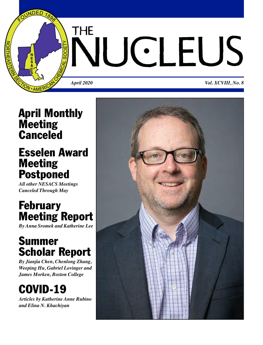

### **April Monthly Meeting Canceled**

### **Esselen Award Meeting Postponed**

*All other NESACS Meetings Canceled Through May*

### **February Meeting Report**

*By Anna Sromek and Katherine Lee*

### **Summer Scholar Report**

*By Jianjia Chen, Chenlong Zhang, Weeping Hu, Gabriel Lovinger and James Morken, Boston College*

### **COVID-19**

*Articles by Katherine Anne Rubino and Elina N. Khachiyan*

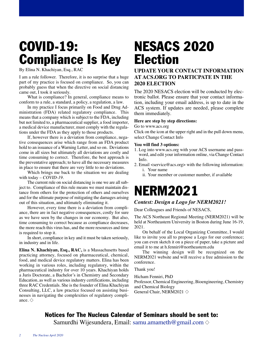## **COVID-19: Compliance Is Key**

By Elina N. Khachiyan, Esq., RAC

I am a rule follower. Therefore, it is no surprise that a huge part of my practice is focused on compliance. So, you can probably guess that when the directive on social distancing came out, I took it seriously.

What is compliance? In general, compliance means to conform to a rule, a standard, a policy, a regulation, a law.

In my practice I focus primarily on Food and Drug Administration (FDA) related regulatory compliance. This means that a company which is subject to the FDA, including but not limited to, a pharmaceutical supplier, a food importer, a medical device manufacturer, must comply with the regulations under the FDA as they apply to those products.

If, however there is a deviation from compliance, negative consequences arise which range from an FDA product hold to an issuance of a Warning Letter, and so on. Deviations come in all sizes but ultimately all deviations are costly and time consuming to correct. Therefore, the best approach is the preventative approach; to have all the necessary measures in place to ensure that there are very little to no deviations.

Which brings me back to the situation we are dealing with today – *COVID-19*.

The current rule on social distancing is one we are all subject to. Compliance of this rule means we must maintain distance from others for the protection of others and ourselves and for the ultimate purpose of mitigating the damages arising out of this situation, and ultimately eliminating it.

However, every time there is a deviation from compliance, there are in fact negative consequences, costly for sure as we have seen by the changes in our economy. But also, time consuming to correct because as compliance decreases, the more reach this virus has, and the more resources and time is required to stop it.

In short, compliance in key and it must be taken seriously, in industry and in life.

**Elina N. Khachiyan, Esq., RAC,** is a Massachusetts based practicing attorney, focused on pharmaceutical, chemical, food, and medical device regulatory matters. Elina has been working in various roles, including regulatory, within the pharmaceutical industry for over 10 years. Khachiyan holds a Juris Doctorate, a Bachelor's in Chemistry and Secondary Education, as well as various industry certifications, including three RAC Credentials. She is the founder of Elina Khachiyan Consulting, LLC, a law practice focused on assisting businesses in navigating the complexities of regulatory compliance.  $\diamond$ 

## **NESACS 2020 Election**

#### **UPDATE YOUR CONTACT INFORMATION AT ACS.ORG TO PARTICPATE IN THE 2020 ELECTION**

The 2020 NESACS election will be conducted by electronic ballot. Please ensure that your contact information, including your email address, is up to date in the ACS system. If updates are needed, please complete them immediately.

#### **Here are step by step directions:**

Go to www.acs.org

Click on the icon at the upper right and in the pull down menu, select Change Contact Info

#### **You will find 3 options:**

- 1. Log into www.acs.org with your ACS username and password, and edit your information online, via Change Contact Info.
- 2. Email <service@acs.org> with the following information: i. Your name
	- ii. Your member or customer number, if available

## **NERM2021**

#### *Contest: Design a Logo for NERM2021!*

Dear Colleagues and Friends of NESACS,

The ACS Northeast Regional Meeting (NERM2021) will be held at Northeastern University in Boston during June 16-19, 2021.

On behalf of the Local Organizing Committee, I would like to invite you all to propose a Logo for our conference; you can even sketch it on a piece of paper, take a picture and email it to me at h.fenniri@northeastern.edu

The winning design will be recognized on the NERM2021 website and will receive a free admission to the conference.

Thank you!

Hicham Fenniri, PhD Professor, Chemical Engineering, Bioengineering, Chemistry and Chemical Biology General Chair, NERM2021  $\diamond$ 

### **Notices for The Nucleus Calendar of Seminars should be sent to:**

Samurdhi Wijesundera, Email: [samu.amameth@gmail.com](mailto:samu.amameth@gmail.com)  $\diamond$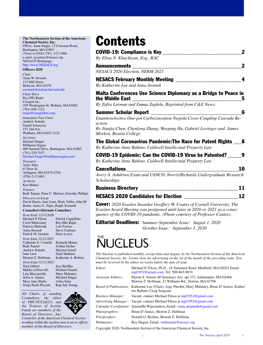#### **The Northeastern Section of the American-Chemical Society, Inc.** Office: Anna Singer, 12 Corcoran Road, Burlington, MA 01803 (Voice or FAX) (781) 272-1966.

e-mail: secretary@nesacs.org NESACS Homepage: [http://www.NESACS.org](mailto:http://www.NESACS.org)

#### **Officers 2020**

*Chair* Anna W. Sromek 115 Mill Street Belmont, MA 02478 <asromek@mclean.harvard.edu> *Chair-Elect* Raj (SB) Rajur

Creagen Inc. 299 Washington St, Woburn, MA 01801 (781)-938-1122 [rrajur@creagenbio.com](mailto:rrajur@creagenbio.com)

*Immediate Past Chair* Andrew Scholte Sanofi-Genzyme 153 2nd Ave. Waltham, MA 02451-1122

*Secretary* Michael Singer Millipore-Sigma 400 Summit Drive, Burlington, MA 01803 (781)-229-7037 [Michael.Singer@milliporesigma.com](mailto:Michael.Singer@milliporesigma.com)

*Treasurer* Ashis Saha 67 Bow St. Arlington, MA 02474-2744 (978)-212-5462

*Archivist* Ken Mattes *Trustees* Ruth Tanner, Peter C. Meltzer, Dorothy Phillips *Directors-at-Large* David Harris, June Lum, Mark Tebbe, John M. Burke, James U. Piper, Ralph Scannell

#### **Councilors/Alternate Councilors**

| Term Ends 12/31/2020  |                     |
|-----------------------|---------------------|
| Michael P. Filosa     | Patrick Cappillino  |
| Carol Mulrooney       | Raj (SB) Rajur      |
| Patricia Mabrouk      | Lori Ferrins        |
| Anna Sromek           | Steve Canham        |
| Patrick M. Gordon     | Doris Lewis         |
| Term Ends 12/31/2021  |                     |
| Catherine E. Costello | Kenneth Mattes      |
| <b>Ruth Tanner</b>    | Joshua Sacher       |
| <b>Andrew Scholte</b> | Mariam Ismail       |
| June Lum              | Dajit Matharu       |
| Morton Z. Hoffman     | Katherine A. Rubino |
| Term Ends 12/31/2022  |                     |
| Tom Gilbert           | Jens Breffke        |
| Malika Jeffries-EL    | Hicham Fenniri      |
| Lisa Marcaurelle      | Mary Mahaney        |
| Sofia A. Santos       | Michael Singer      |
| Mary Jane Shultz      | Ashis Saha          |
| Sonja Strah-Pleynet   | Kap-Sun Yeung       |
|                       |                     |

*All Chairs of standing Committees, the editor of THE NUCLEUS, and the Trustees of Section Funds are members of the Board of Directors. Any*

*Coun cilor of the American Chemical Society residing within the section area is an ex officio member of the Board of Directors.*

## **Contents**

| <b>COVID-19: Compliance is Key</b><br>By Elina N. Khachiyan, Esq., RAC                                                        |    |
|-------------------------------------------------------------------------------------------------------------------------------|----|
| <b>Announcements</b>                                                                                                          |    |
| NESACS 2020 Election, NERM 2021<br><b>NESACS February Monthly Meeting</b><br>By Katherine Lee and Anna Sromek                 |    |
| Malta Conferences Use Science Diplomacy as a Bridge to Peace in<br>the Middle East                                            |    |
| By Zafra Lerman and Emma Zajdela, Reprinted from C&E News.                                                                    |    |
| <b>Summer Scholar Report</b>                                                                                                  |    |
| Enantioselective One-pot Carbozincation Negishi Cross-Coupling Cascade Re-<br>action                                          |    |
| By Jianjia Chen, Chenlong Zhang, Weeping Hu, Gabriel Lovinger and James<br>Morken, Boston College                             |    |
| The Global Coronavirus Pandemic: The Race for Patent Rights _<br>By Katherine Anne Rubino, Caldwell Intellectual Property Law | 8  |
| COVID-19 Epidemic: Can the COVID-19 Virus be Patented?<br>By Katherine Anne Rubino, Caldwell Intellectual Property Law        |    |
| <b>Cancellations</b>                                                                                                          | 10 |
| Avery A. Ashdown Exam and USNCO, Norris/Richards Undergraduate Research                                                       |    |
| Scholarships                                                                                                                  |    |
| <b>Business Directory</b>                                                                                                     | 11 |
| <b>NESACS 2020 Candidates for Election</b>                                                                                    | 12 |
| <b>Pought</b> 2020 Essalar Augustas Caeffron W. Castes of Council University The                                              |    |

**Cover:** *2020 Esselen Awardee Geoffrey W. Coates of Cornell University. The Esselen Award Meeting was postponed until later in 2020 or 2021 as a consequence of the COVID-19 pandemic. (Photo courtesy of Professor Coates).*

**Editorial Deadlines:** *Summer-September Issue: August 1, 2020 October Issue: September 1, 2020*

### **THE**  $J(\cdot)$  FU

*The Nucleus is published monthly, except June and August, by the Northeastern Section of the American Chemical Society, Inc. Forms close for advertising on the 1st of the month of the preceding issue. Text must be received by the editor six weeks before the date of issue.*

| Editor:            | Michael P. Filosa, Ph.D., 18 Tamarack Road, Medfield, MA 02052 Email:<br>mpf1952@gmail.com; Tel: 508-843-9070                         |
|--------------------|---------------------------------------------------------------------------------------------------------------------------------------|
| Associate Editors: | Myron S. Simon, 60 Seminary Ave. apt 272, Auburndale, MA 02466<br>Morton Z. Hoffman, 23 Williams Rd., Norton, MA 02766                |
|                    | <i>Board of Publications:</i> Katherine Lee (Chair), Ajay Purohit, Mary Mahaney, Brian D'Amico, Kather-<br>ine Rubino, Craig Sergeant |
| Business Manager:  | Vacant: contact Michael Filosa at mpf1952@gmail.com                                                                                   |
|                    | <i>Advertising Manager:</i> Vacant: contact Michael Filosa at mpf1952@gmail.com                                                       |
|                    | <i>Calendar Coordinator:</i> Samurdhi Wijesundera, Email: samu.amameth@gmail.com                                                      |
| Photographers:     | Brian D'Amico, Morton Z. Hoffman                                                                                                      |
| Proofreaders:      | Donald O. Rickter, Morton Z. Hoffman                                                                                                  |
| Webmaster:         | Roy Hagen, Email: webmaster@nesacs.org                                                                                                |
|                    |                                                                                                                                       |

Copyright 2020, Northeastern Section of the American Chemical Society, Inc.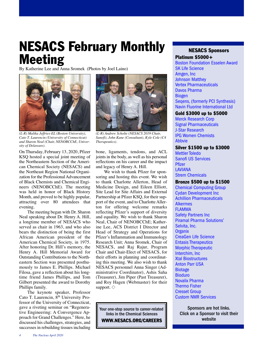## **NESACS February Monthly Meeting**

By Katherine Lee and Anna Sromek (Photos by Joel Laino)



*(L-R) Malika Jeffries-EL (Boston University), Cato T. Laurencin (University of Connecticut) and Sharon Neal (Chair, NENOBCChE, University of Delaware).*

On Thursday, February 13, 2020, Pfizer KSQ hosted a special joint meeting of the Northeastern Section of the American Chemical Society (NESACS) and the Northeast Region National Organization for the Professional Advancement of Black Chemists and Chemical Engineers (NENOBCChE). The meeting was held in honor of Black History Month, and proved to be highly popular, attracting over 80 attendees that evening.

The meeting began with Dr. Sharon Neal speaking about Dr. Henry A. Hill, a longtime member of NESACS who served as chair in 1963, and who also bears the distinction of being the first African American president of the American Chemical Society, in 1975. After honoring Dr. Hill's memory, the Henry A. Hill Memorial Award for Outstanding Contributions to the Northeastern Section was presented posthumously to James E. Phillips. Michael Filosa, gave a reflection about his longtime friend James Phillips, and Tom Gilbert presented the award to Dorothy Phillips family.

The keynote speaker, Professor Cato T. Laurencin, 8<sup>th</sup> University Professor of the University of Connecticut, gave a riveting seminar on "Regenerative Engineering: A Convergence Approach for Grand Challenges." Here, he discussed his challenges, strategies, and successes in rebuilding tissues including



*(L-R) Andrew Scholte (NESACS 2019 Chair, Sanofi), John Kane (Consultant), Kyle Cole (C4 Therapeutics).*

bone, ligaments, tendons, and ACL joints in the body, as well as his personal reflections on his career and the impact and legacy of Henry A. Hill.

We wish to thank Pfizer for sponsoring and hosting this event. We wish to thank Charlotte Allerton, Head of Medicine Design, and Eileen Elliott, Site Lead for Site Affairs and External Partnership at Pfizer KSQ, for their support of the event, and to Charlotte Allerton for offering welcome remarks reflecting Pfizer's support of diversity and equality. We wish to thank Sharon Neal, Chair of NENOBCChE; Katherine Lee, ACS District I Director and Head of Strategy and Operations for Pfizer's Inflammation and Immunology Research Unit; Anna Sromek, Chair of NESACS, and Raj Rajur, Program Chair and Chair-Elect of NESACS, for their efforts in planning and coordinating this meeting. We also wish to thank NESACS personnel Anna Singer (Administrative Coordinator), Ashis Saha (Treasurer), Jim Piper (Past Treasurer), and Roy Hagen (Webmaster) for their support.  $\diamondsuit$ 

Your one-stop source to career-related links in the Chemical Sciences **[WWW.NESACS.ORG/CAREERS](http://www.nesacs.org/careers.html)**

#### **NESACS Sponsors**

#### **Platinum \$5000+**

[Boston Foundation Esselen Award](https://www.tbf.org/) [SK Life Science](https://www.sklifescienceinc.com/) [Amgen, Inc](https://www.amgen.com) [Johnson Matthey](https://matthey.com) [Vertex Pharmaceuticals](https://www.vrtx.com/) [Davos Pharma](https://www.davos.com/) [Biogen](https://www.biogen.com) [Seqens, \(formerly PCI Synthesis\)](http://www.pcisynthesis.com) [Navin Fluorine International Ltd](https://nfil.in/)

#### **Gold \$3000 up to \$5000**

[Merck Research Corp](https://www.merck.com) [Signal Pharmaceuticals](http://ww17.signalpharm.com/) [J-Star Research](https://www.jstar-research.com/) [IPG Women Chemists](http://wln.interpublic.com/) [Abbvie](https://www.abbvie.com/)

#### **Silver \$1500 up to \$3000**

[Mettler Toledo](https://www.mt.com/us/en/home.html) [Sanofi US Services](https://www.sanofiservices.us/) **[Pfizer](https://www.pfizer.com/)** [LAVIANA](http://www.lavianacorp.com/) [Strem Chemicals](https://www.strem.com/)

#### **Bronze \$500 up to \$1500**

[Chemical Computing Group](https://www.chemcomp.com/) [Cydan Development Inc](http://www.cydanco.com/) [Achillion Pharmaceuticals](https://www.achillion.com/) [Alkermes](https://www.alkermes.com/) [FLAMMA](https://www.flammagroup.com/) [Safety Partners Inc](https://www.safetypartnersinc.com/) [Piramal Pharma Solutions'](https://www.piramalpharmasolutions.com/) [Selvita, Inc.](https://selvita.com/) **[Organix](http://www.organixinc.com)** [CreaGen Life Science](https://creageninc.com/) [Entasis Therapeutics](https://www.entasistx.com/) [Morphic Therapeutic](https://morphictx.com/) [Interchim, Inc](http://interchiminc.com/index.html) [Xtal Biostructures](http://xtalbiostructures.com/) [Anton Parr USA](https://www.anton-paar.com) **[Biotage](https://www.biotage.com/)** [Bioduro](https://bioduro.com/) [Novalix Pharma](https://www.novalix.com/) [Thermo Fisher](https://www.thermofisher.com) [Cresset Group](http://cressetgroup.com/) [Custom NMR Services](https://custom-nmr-service.com/)

Sponsors are hot links. Click on a Sponsor to visit their website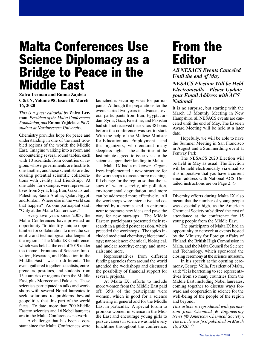### **Malta Conferences Use Science Diplomacy as a Bridge to Peace in the Middle East**

#### **C&EN, Volume 98, Issue 10, March 16, 2020 Zafra Lerman and Emma Zajdela**

*This is a guest editorial by* **Zafra Lerman***, President of the Malta Conferences Foundation, and***Emma Zajdela***, a Ph.D. student at Northwestern University.*

Chemistry provides hope for peace and understanding in one of the most troubled regions of the world: the Middle East. Imagine walking into a room and encountering several round tables, each with 10 scientists from countries or regions whose governments are hostile to one another, and those scientists are discussing potential scientific collaborations with civility and friendship. At one table, for example, were representatives from Syria, Iraq, Iran, Gaza, Israel, Palestine, Saudi Arabia, Qatar, Egypt, and Jordan. Where else in the world can that happen? As one participant said, "Only at the Malta Conferences."

Every two years since 2003, the Malta Conferences have provided an opportunity "to identify unique opportunities for collaboration to meet the scientific and technological challenges of the region." The Malta IX Conference, which was held at the end of 2019 under the theme "Frontiers of Science: Innovation, Research, and Education in the Middle East," was no different. The event gathered together scientists, entrepreneurs, postdocs, and students from 15 countries or regions from the Middle East, plus Morocco and Pakistan. These scientists participated in talks and workshops with several Nobel laureates to seek solutions to problems beyond geopolitics that this part of the world faces. To date, more than 700 Middle Eastern scientists and 16 Nobel laureates are in the Malta Conferences network.

A challenge that has been a constant since the Malta Conferences were launched is securing visas for participants. Although the preparations for the event started two years in advance, several participants from Iran, Egypt, Jordan, Syria, Gaza, Palestine, and Pakistan had still not received their visas 48 hours before the conference was set to start. With the help of the Maltese Minister for Education and Employment – and the organizers, who endured many sleepless nights – the authorities at the last minute agreed to issue visas to the scientists upon their landing in Malta.

Malta IX had a makeover. Organizers implemented a new structure for the workshops to create more meaningful change for the region so that the issues of water scarcity, air pollution, environmental degradation, and more can be addressed more effectively. All the workshops were interactive and cochaired by a chemist and an entrepreneur to promote new ideas and pave the way for new start-ups. The Middle Eastern participants presented their research in a guided poster session, which preceded the workshops. The topics included medicinal chemistry; biotechnology; nanoscience; chemical, biological, and nuclear security; energy and materials; and more.

Representatives from different funding agencies from around the world attended the workshops and discussed the possibility of financial support for several projects.

At Malta IX, efforts to include more women from the Middle East paid off: 35% of the participants were women, which is good for a science gathering in general and for the Middle East in particular. A special forum to promote women in science in the Middle East and encourage young girls to pursue careers in science was held every lunchtime throughout the conference.

### **From the Editor**

*All NESACS Events Canceled Until the end of May*

#### *NESACS Election Will be Held Electronically – Please Update your Email Address with ACS National*

It is no surprise, but starting with the March 13 Monthly Meeting in New Hampshire, all NESACS events are canceled until the end of May. The Esselen Award Meeting will be held at a later date.

Hopefully, we will be able to have the Summer Meeting in San Francisco in August and a Summerthing event at Fenway Park.

The NESACS 2020 Election will be held in May as usual. The Election will be held electronically via email so it is imperative that you have a current email address with National ACS. Detailed instructions are on Page 2.  $\diamond$ 

Diversity efforts during Malta IX also meant that the number of young people was especially high, as the American Chemical Society subsidized the cost of attendance at the conference for 15 young people from the Middle East.

The participants of Malta IX had an opportunity to network at events hosted by the Ministry for Foreign Affairs of Finland, the British High Commission in Malta, and the Malta Council for Science and Technology, which sponsored the closing ceremony at the science museum.

In his speech at the opening ceremony, George Vella, President of Malta, said: "It is heartening to see representatives from so many countries from the Middle East, including Nobel laureates, coming together to discuss ways forward and cooperation in science for the well-being of the people of the region and beyond."

*This article is reproduced with permission from Chemical & Engineering News (© American Chemical Society). The article was first published on March 16, 2020.*  $\diamond$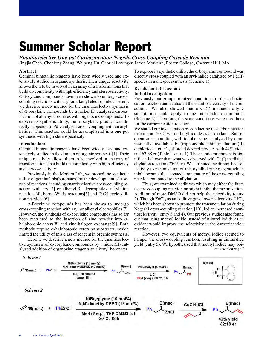## **Summer Scholar Report**

*Enantioselective One-pot Carbozincation Negishi Cross-Coupling Cascade Reaction*

Jingjia Chen, Chenlong Zhang, Weipeng Hu, Gabriel Lovinger, James Morken\*, Boston College, Chestnut Hill, MA

#### **Abstract:**

Geminal bimetallic reagents have been widely used and extensively studied in organic synthesis. Their unique reactivity allows them to be involved in an array of transformations that build up complexity with high efficiency and stereoselectivity. α-Borylzinc compounds have been shown to undergo crosscoupling reactions with aryl or alkenyl electrophiles. Herein, we describe a new method for the enantioselective synthesis of α-borylzinc compounds by a nickel(II) catalyzed carbozincation of alkenyl boronates with organozinc compounds. To explore its synthetic utility, the  $\alpha$ -borylzinc product was directly subjected to Pd-catalyzed cross-coupling with an arylhalide. This reaction could be accomplisehd in a one-pot synthesis with high stereospecificity.

#### **Introduction:**

Geminal bimetallic reagents have been widely used and extensively studied in the domain of organic synthesis[1]. Their unique reactivity allows them to be involved in an array of transformations that build up complexity with high efficiency and stereoselectivity.

Previously in the Morken Lab, we probed the synthetic utility of geminal bis(boronates) by the development of a series of reactions, including enantioselective cross-coupling reaction with aryl[2] or alkenyl[3] electrophiles, alkylation reactions[4], boron-Wittig reactions[5] and [2+2] cycloaddition reactions[6].

α-Borylzinc compounds has been shown to undergo cross-coupling reaction with aryl or alkenyl electrophiles[7]. However, the synthesis of  $\alpha$ -borylzinc compounds has so far been restricted to the insertion of zinc powder into  $\alpha$ haloboronic esters[8] and zinc-halogen exchange[9]. Both methods require  $\alpha$ -haloboronic esters as substrates, which limited the utility of this class of reagent in organic synthesis.

Herein, we describe a new method for the enantioselective synthesis of  $\alpha$ -borylzinc compounds by a nickel(II) catalyzed addition of organozinc reagents to alkenyl boronates. To explore its synthetic utility, the  $\alpha$ -borylzinc compound was directly cross-coupled with an aryl-halide catalyzed by Pd(II) species in a one-pot synthesis (Scheme 1).

#### **Results and Discussion: Initial Investigation**

Previously, our group optimized conditions for the carbozincation reaction and evaluated the enantioselectivity of the reaction. We also showed that a Cu(I) mediated allylic substitution could apply to the intermediate compound (Scheme 2). Therefore, the same conditions were used here for the carbozincation reaction.

We started our investigation by conducting the carbozincation reaction at -20℃ with n-butyl iodide as an oxidant. Subsequent cross coupling with iodobenzene, catalyzed by commercially available bis(triphenylphosphine)palladium(II) dichloride at 60 ℃, afforded desired product with 42% yield and 62:38 er (Table 1, entry 1). The enantioenrichment is significantly lower than what was observed with Cu(I) mediated allylation reaction (75:25 er). We attributed the diminished selectivity to racemization of α-borylalkyl zinc reagent which might occur at the elevated temperature of the cross-coupling reaction compared to the allylation.

Thus, we examined additives which may either facilitate the cross-coupling reaction or might inhibit the racemization. Addition of more DMSO did not help the selectivity (entry 2). Though ZnCl<sub>2</sub> as an additive gave lower selectivity, LiCl, which has been shown to promote the transmetallation during Negeshi cross-coupling reaction [10], led to increased enantioselectivity (entry 3 and 4). Our previous studies also found out that using methyl iodide instead of n-butyl iodide as an oxidant would improve the selectivity in the carbozincation reaction.

However, two equivalents of methyl iodide seemed to hamper the cross-coupling reaction, resulting in diminished yield (entry 5). We hypothesized that methyl iodide may poi*continued on page 7*

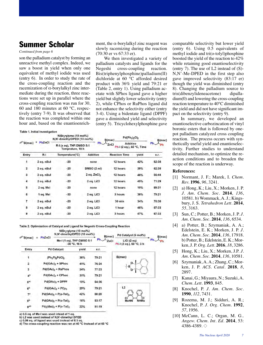### **Summer Scholar**

#### *Continued from page 6*

son the palladium catalyst by forming an unreactive methyl complex. Indeed, we saw a boost in yield when only one equivalent of methyl iodide was used (entry 6). In order to study the rate of the cross-coupling reaction and the racemization of α-borylalkyl zinc intermediate during the reaction, three reactions were set up in parallel where the cross-coupling reaction was run for 30, 60 and 180 minutes at 60 ℃, respectively (entry 7-9). It was observed that the reaction was completed within one hour and, based on the enantioenrich-

#### **Table 1. Initial Investigation**

ment, the  $\alpha$ -borylalkyl zinc reagent was slowly racemizing during the reaction (70:30 er vs 67:33 er).

We then investigated a variety of palladium catalysts and ligands for the Negeshi cross-coupling reaction. Bis(triphenylphosphine)palladium(II) dichloride at 60 ℃ afforded desired product with 36% yield and 79:21 er (Table 2, entry 1). Using palladium acetate with SPhos ligand gave a higher yield but slightly lower selectivity (entry 2), while CPhos or RuPhos ligand did not enhance the selectivity either (entry 3-4). Using a bidentate ligand (DPPF) gave a diminished yield and selectivity (entry 5). Tricyclohexylphosphine gave

|                      |            | $NiBr2$ -glyme (10 mol%)<br>N.N'-dimethyIDPED (13 mol%)<br>R-I (x eq), THF:DMSO 5:1<br>Temprature, 18 h |                        | $Pd(Ph_3)$ <sub>2</sub> $Cl_2$<br>B(mac) |                                              |       | B(mac)<br>Ph.<br>Ph |
|----------------------|------------|---------------------------------------------------------------------------------------------------------|------------------------|------------------------------------------|----------------------------------------------|-------|---------------------|
| $\mathscr{D}$ B(mac) | PhZnCl     |                                                                                                         |                        | Ph.<br>ZnCl                              | <b>Additive</b><br>Ph I (2 eq.), 60 °C, Time |       |                     |
| Entry                | R-I        | Temperature(°C)                                                                                         | <b>Additive</b>        | <b>Reaction Time</b>                     |                                              | yield | e.r.                |
| 1                    | 2 eq. nBul | $-20$                                                                                                   | none                   | 12 hours                                 |                                              | 42%   | 62:38               |
| $\overline{2}$       | 2 eq. nBul | $-20$                                                                                                   | DMSO(2 <sub>m</sub> )  | 12 hours                                 |                                              | 39%   | 62:38               |
| 3                    | 2 eq. nBul | $-20$                                                                                                   | $2$ eq. $ZnCl2$        | 12 hours                                 |                                              | 46%   | 56:44               |
| $\overline{4}$       | 2 eq. nBul | $-20$                                                                                                   | 2 eq. LiCl             | 12 hours                                 |                                              | 45%   | 71:29               |
| 5                    | 2 eq. Mel  | $-20$                                                                                                   | 12 hours<br>none       |                                          |                                              | 10%   | 69:31               |
| 6                    | 1 eq. Mel  | $-30$                                                                                                   | 2 eq. LiCl<br>3 hours  |                                          |                                              | 36%   | 79:21               |
| 7                    | 2 eq. nBul | $-20$                                                                                                   | 2 eq. LiCl<br>$30$ min |                                          |                                              | 34%   | 70:30               |
| 8                    | 2 eq. nBul | $-20$                                                                                                   | 2 eq. LiCl.            | 1 hour                                   |                                              | 46%   | 67:33               |
| 9                    | 2 eq. nBul | $-20$                                                                                                   | 2 eq. LiCl             | 3 hours                                  |                                              | 47%   | 67:33               |
|                      |            |                                                                                                         |                        |                                          |                                              |       |                     |

Table 2. Optimization of Catalyst and Ligand for Negeshi Cross-Coupling Reaction NiBr<sub>2</sub>-alyme (10 mol%)

| $\mathscr{D}$ B(mac) | PhZnCl            | N,N'-dimethyIDPED (13 mol%)      |                                           | B(mac)              | Pd Catalyst (5 mol%)                   | B(mac)   |
|----------------------|-------------------|----------------------------------|-------------------------------------------|---------------------|----------------------------------------|----------|
|                      |                   |                                  | Me-I (1 eq), THF:DMSO 5:1<br>-30 °C, 18 h | $Ph_{\sim}$<br>ZnCl | Lic1(2eq)<br>Ph-I (2 eq.), 60 °C, 3 h  | Ph<br>Ph |
| Entry                |                   | <b>Pd Catalyst</b>               | yield                                     | e.r.                |                                        |          |
| 1                    | $(Ph_3P)_2PdCl_2$ |                                  | 36%                                       | 79:21               | B(mac)                                 |          |
| $\mathbf{z}$         |                   | Pd(OAc) <sub>2</sub> + SPhos     | 41%                                       | 76:24               | $\circ$<br>B                           |          |
| 3                    |                   | $Pd(OAc)_2 + RuPhos$             | 34%                                       | 77:23               | o                                      |          |
| 4 <sup>a</sup>       |                   | $Pd(OAc)_2 + CPhos$              | 31%                                       | 79:21               |                                        |          |
| 5 <sup>ac</sup>      |                   | $Pd(OAc)_2 + DPPF$               | 10%                                       | 64:36               |                                        |          |
| 6 <sup>b</sup>       |                   | $Pd(OAc)_2 + PCy_3$              | 29%                                       | 79:21               | L2                                     |          |
| 7 <sup>a</sup>       |                   | $Pd(OAc)_{2} + P(o-Tol)_{3}$     | 42%                                       | 80:20               |                                        |          |
| 8 <sup>b</sup>       |                   | $Pd(OAc)2 + P(o-Tol)3$           | 16%                                       | 83:17               | СI<br>СI<br><b>NHMe</b><br><b>MeHN</b> |          |
| gad                  |                   | $Pd_2(dba)_{3}$ + $P(o-Tol)_{3}$ | 22%                                       | 81:19               |                                        |          |
|                      |                   |                                  |                                           |                     |                                        |          |

a) 0.5 eq. of Me-I was used intead of 1 eq.

b) L2 was used instead of N,N'-dimethyl DPED

c) 0.06 eq. of ligand was used instead of 0.1 eq.

d) The cross-coupling reaction was ran at 40 °C instead of at 60 °C

comparable selectivity but lower yield (entry 6). Using 0.5 equivalents of methyl iodide and tri(o-tolyl)phosphine boosted the yield of the reaction to 42% while retaining good enantioselectivity (entry 7). The use of L2 instead of (S)- N,N'-Me-DPED in the first step also gave improved selectivity (83:17 er) though the yield was diminished (entry 8). Changing the palladium source to tris(dibenzylideneacetone) dipalladium(0) and lowering the cross-coupling reaction temperature to 40℃ diminished the yield and did not have significant impact on the selectivity (entry 9).

In summary, we developed an enantioselective carbozincation of vinyl boronic esters that is followed by onepot palladium catalyzed cross coupling reaction. The process occurs with synthetically useful yield and enantioselectivity. Further studies to understand detailed mechanism, to optimize the reaction conditions and to broaden the scope of the reaction is underway.

#### **References:**

- [1] Normant, J. F.; Marek, I. *Chem. Rev.* **1996**, *96*, 3241.
- [2] a) Hong, K.; Liu, X.; Morken, J. P. *J. Am. Chem. Soc.* **2014**, *136*, 10581. b) Wommack, A. J.; Kingsbury, J. S. *Tetrahedron Lett.* **2014**, *55*, 3163.
- [3] Sun, C.; Potter, B.; Morken, J. P. *J. Am. Chem. Soc.* **2014**, *136*, 6534.
- [4] a) Potter, B.; Szymaniak, A. A.; Edelstein, E. K.; Morken, J. P. *J. Am. Chem. Soc.* **2014**, *136*, 17918. b) Potter, B.; Edelstein, E. K.; Morken, J. P. *Org. Lett.* **2016**, *18*, 3286.
- [5] Hong, K.; Liu, X.; Morken, J.P. *J. Am. Chem. Soc.* **2014**, *136*, 10581.
- [6] Szymaniak, A. A.; Zhang, C.; Morken, J. P. *ACS. Catal.* **2018**, *8*, 2897.
- [7] Kanai, G.; Miyaura, N.; Suzuki, A. *Chem. Lett.* **1993**, 845.
- [8] Knochel, P. *J. Am. Chem. Soc.* **1990**, *112*, 7431.
- [9] Rozema, M. J.; Sidduri, A. R.; Knochel, P. *J. Org. Chem.* **1992**, *57*, 1956.
- [10] McCann, L. C.; Organ, M. G.. *Angew. Chem. Int. Ed*. **2014**, 53: 4386-4389.  $\diamond$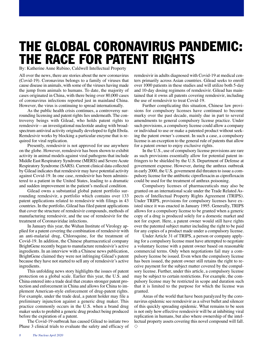### **THE GLOBAL CORONAVIRUS PANDEMIC: THE RACE FOR PATENT RIGHTS**

By: Katherine Anne Rubino, Caldwell Intellectual Property

All over the news, there are stories about the new coronavirus (Covid-19). Coronavirus belongs to a family of viruses that cause disease in animals, with some of the viruses having made the jump from animals to humans. To date, the majority of cases originated in China, with there being over 80,000 cases of coronavirus infections reported just in mainland China. However, the virus is continuing to spread internationally.

As the public health crisis continues, a controversy surrounding licensing and patent rights lies underneath. The controversy beings with Gilead, who holds patent rights to remdesivir—an investigational nucleotide analog with broadspectrum antiviral activity originally developed to fight Ebola. Remdesivir works by blocking a particular enzyme that is required for viral replication.

Presently, remdesivir is not approved for use anywhere on the globe. However, remdesivir has been shown to exhibit activity in animal models against viral pathogens that include Middle East Respiratory Syndrome (MERS) and Severe Acute Respiratory Syndrome (SARS). Current clinical data collected by Gilead indicates that remdesivir may have potential activity against Covid-19. In one case, remdesivir has been administered to a patient in the United States, leading to a dramatic and sudden improvement in the patient's medical condition.

Gilead owns a substantial global patent portfolio surrounding remdesivir, a portfolio which contains over 133 patent applications related to remdesivir with filings in 43 countries. In the portfolio, Gilead has filed patent applications that cover the structure of remdesivir compounds, methods of manufacturing remdesivir, and the use of remdesivir for the treatment of Coronaviridae infections.

In January this year, the Wuhan Institute of Virology applied for a patent covering the combination of remdesivir with an anti-malarial drug, Chloroquine, for the treatment of Covid-19. In addition, the Chinese pharmaceutical company BrightGene recently began to manufacture remdesivir's active ingredients. In an interview with a Chinese news publication, BrightGene claimed they were not infringing Gilead's patent because they have not started to sell any of remdesivir's active ingredients.

This unfolding news story highlights the issues of patent protection on a global scale. Earlier this year, the U.S. and China entered into a trade deal that creates stronger patent protection and enforcement in China and allows for China to implement American-style enforcement of drug-patent rights. For example, under the trade deal, a patent holder may file a preliminary injunction against a generic drug maker. This practice commonly occurs in the U.S. when a brand drug maker seeks to prohibit a generic drug product being produced before the expiration of a patent.

The Covid-19 outbreak has caused Gilead to initiate two Phase 3 clinical trials to evaluate the safety and efficacy of remdesivir in adults diagnosed with Covid-19 at medical centers primarily across Asian countries. Gilead seeks to enroll over 1000 patients in these studies and will utilize both 5-day and 10-day dosing regimens of remdesivir. Gilead has maintained that it owns all patents covering remdesivir, including the use of remdesivir to treat Covid-19.

Further complicating this situation, Chinese law provisions for compulsory licenses have continued to become murky over the past decade, mainly due in part to several amendments to general compulsory license practice. Under such provisions, a compulsory license could allow a company or individual to use or make a patented product without seeking the patent owner's consent. In such a case, a compulsory license is an exception to the general rule of patents that allow for a patent owner to enjoy exclusive rights.

In the U.S., use of compulsory license provisions are rare as such provisions essentially allow for potential patent infringers to be shielded by the U.S. Department of Defense at government expense. However, during the anthrax outbreak in early 2000, the U.S. government did threaten to issue a compulsory license for the antibiotic ciprofloxacin as ciprofloxacin could be used for the treatment of anthrax poisoning.

Compulsory licenses of pharmaceuticals may also be granted on an international scale under the Trade Related Aspects of Intellectual Property Rights Agreement (TRIPS). Under TRIPS, provisions for compulsory licenses have existed since it was enacted in January 1995. Generally, TRIPS allows for a compulsory license to be granted when a generic copy of a drug is produced solely for a domestic market and not for export. Here, a patent owner would still have rights over the patented subject matter including the right to be paid for any copies of a product made under a compulsory license.

Under Article 31 of TRIPS, a person or company applying for a compulsory license must have attempted to negotiate a voluntary license with a patent owner based on reasonable commercial terms. Only when negotiations fail may a compulsory license be issued. Even when the compulsory license has been issued, the patent owner still retains the right to receive payment for the subject matter covered by the compulsory license. Further, under this article, a compulsory license may be subject to certain restrictions. For example, the compulsory license may be restricted in scope and duration such that it is limited to the purpose for which the license was granted.

Areas of the world that have been paralyzed by the coronavirus epidemic see remdesivir as a silver bullet and silencer of this quickly spreading epidemic. What remains to be seen is not only how effective remdesivir will be at inhibiting viral replication in humans, but also where ownership of the intellectual property assets covering this novel compound will fall.  $\diamond$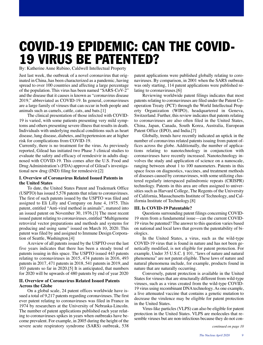### **COVID-19 EPIDEMIC: CAN THE COVID-19 VIRUS BE PATENTED?**

By: Katherine Anne Rubino, Caldwell Intellectual Property

Just last week, the outbreak of a novel coronavirus that originated in China, has been characterized as a pandemic, having spread to over 100 countries and affecting a large percentage of the population. This virus has been named "SARS-CoV-2" and the disease that it causes is known as "coronavirus disease 2019," abbreviated as COVID-19. In general, coronaviruses are a large family of viruses that can occur in both people and animals such as camels, cattle, cats, and bats.[1]

The clinical presentation of those infected with COVID-19 is varied, with some patients presenting very mild symptoms and others presenting severe illness that results in death. Individuals with underlying medical conditions such as heart disease, lung disease, diabetes, and hypertension are at higher risk for complications from COVID-19.

Currently, there is no treatment for the virus. As previously reported, Gilead has initiated two Phase 3 clinical studies to evaluate the safety and efficacy of remdesivir in adults diagnosed with COVID-19. This comes after the U.S. Food and Drug Administration's (FDA) approval of Gilead's investigational new drug (IND) filing for remdesivir.[2]

#### **I. Overview of Coronavirus Related Issued Patents in the United States**

To date, the United States Patent and Trademark Office (USPTO) has issued 5,578 patents that relate to coronaviruses. The first of such patents issued by the USPTO was filed and assigned to Eli Lilly and Company on June 4, 1975. This patent, entitled "Anti-viral method in animals", matured into an issued patent on November 30, 1976.[3] The most recent issued patent relating to coronaviruses, entitled "Multigenome retroviral vector preparations and methods and systems for producing and using same" issued on March 10, 2020. This patent was filed by and assigned to Immune Design Corporation of Seattle, Washington.[4]

A review of all patents issued by the USPTO over the last five years indicates that there has been a steady trend of patents issuing in this space. The USPTO issued 443 patents relating to coronaviruses in 2015, 474 patents in 2016, 493 patents in 2017, 471 patents in 2018, 541 patents in 2019, and 103 patents so far in 2020.[5] It is anticipated, that numbers for 2020 will be upwards of 480 patents by end of year 2020

#### **II. Overview of Coronavirus Related Issued Patents Across the Globe**

On a global scale, 24 patent offices worldwide have issued a total of 9,217 patents regarding coronaviruses. The first ever patent relating to coronaviruses was filed in France in 1974 by researchers at the University of Nebraska-Lincoln. The number of patent applications published each year relating to coronaviruses spikes in years when outbreaks have become prevalent. For example, in 2005 during the height of the severe acute respiratory syndrome (SARS) outbreak, 538

patent applications were published globally relating to coronaviruses. By comparison, in 2001 when the SARS outbreak was only starting, 114 patent applications were published relating to coronaviruses.[6]

Reviewing worldwide patent filings indicates that most patents relating to coronaviruses are filed under the Patent Cooperation Treaty (PCT) through the World Intellectual Property Organization (WIPO), headquartered in Geneva, Switzerland. Further, this review indicates that patents relating to coronaviruses are also often filed in the United States, China, Japan, Canada, South Korea, Australia, European Patent Office (EPO), and India.[7]

Globally, trends have recently indicated an uptick in the number of coronavirus related patents issuing from patent offices across the globe. Additionally, the number of applications relating to nanotechnology in conjunction with coronaviruses have recently increased. Nanotechnology involves the study and application of science on a nanoscale, ranging between about 1 to 100 nanometers. Patents in this space focus on diagnostics, vaccines, and treatment methods of diseases caused by coronaviruses, with some utilizing clustered regularly interspaced palindromic repeats (CRISPR) technology. Patents in this area are often assigned to universities such as Harvard College, The Regents of the University of California, Massachusetts Institute of Technology, and California Institute of Technology.[8]

#### **III. Is COVID-19 Patentable?**

Questions surrounding patent filings concerning COVID-19 stem from a fundamental issue—can the current COVID-19 virus be patented? The answer to this question varies based on national and local laws that govern the patentability of biologics.

In the United States, a virus, such as the wild-type COVID-19 virus that is found in nature and has not been genetically modified, is not eligible for patent protection. For example, Under 35 U.S.C. § 101, "laws of nature and natural phenomena" are not patent eligible. These laws of nature and natural phenomena include, for example, products found in nature that are naturally occurring.

Conversely, patent protection is available in the United States for viruses that are structurally different from wild-type viruses, such as a virus created from the wild-type COVID-19 virus using recombinant DNA technology. As one example, a live attenuated vaccine that contains a genetic mutation to decrease the virulence may be eligible for patent protection in the United States.

Virus-like particles (VLPS) can also be eligible for patent protection in the United States. VLPS are molecules that resemble viruses but are non-infectious because they do not con-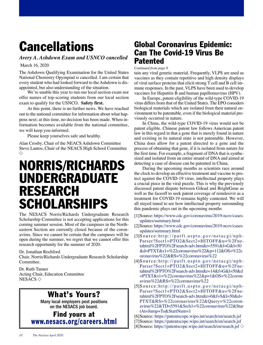## **Cancellations**

*Avery A. Ashdown Exam and USNCO cancelled*

March 16, 2020

The Ashdown Qualifying Examination for the United States National Chemistry Opympiad is cancelled. I am certain that every student who had looked forward to the Ashdown is disappointed, but also understanding of the situation.

We're unable this year to run our local section exam nor offer names of top-scoring students from our local section exam to qualify for the USNCO. **Safety first.**

At this point, there is no further news. We have reached out to the national committee for information about what happens next; at this time, no decision has been made. When information becomes available from the national committee, we will keep you informed.

Please keep yourselves safe and healthy.

Alan Crosby, Chair of the NEACS Ashdown Committee Steve Lantos, Chair of the NEACS High School Committee  $\Diamond$ 

### **NORRIS/RICHARDS UNDERGRADUATE RESEARCH SCHOLARSHIPS**

The NESACS Norris/Richards Undergraduate Research Scholarship Committee is not accepting applications for this coming summer session. Most of the campuses in the Northeastern Section are currently closed because of the coronavirus. Since we cannot be certain that the campuses will be open during the summer, we regret that we cannot offer this research opportunity for the summer of 2020.

Dr. Jonathan Rochford

Chair, Norris/Richards Undergraduate Research Scholarship Committee.

Dr. Ruth Tanner Acting Chair, Education Committee NESACS  $\diamondsuit$ 

### **What's Yours?**

Many local employers post positions on the NESACS job board.

**Find yours at [www.nesacs.org/careers.html](http://www.nesacs.org/careers.html)**

### **Global Coronavirus Epidemic: Can The Covid-19 Virus Be Patented**

*Continued from page 9*

tain any viral genetic material. Frequently, VLPS are used as vaccines as they contain repetitive and high density displays of viral surface proteins that elicit strong T cell and B cell immune responses. In the past, VLPS have been used to develop vaccines for Hepatitis B and human papillomavirus (HPV).

In Europe, patent eligibility of the wild-type COVID-19 virus differs from that of the United States. The EPO considers biological materials which are isolated from their natural environment to be patentable, even if the biological material previously occurred in nature.

In China, the wild-type COVID-19 virus would not be patent eligible. Chinese patent law follows American patent law in this regard in that a gene that is merely found in nature and existing in its natural state is not patentable. However, China does allow for a patent directed to a gene and the process of obtaining that gene, if it is isolated from nature for the first time. For example, a fragment of DNA that is synthesized and isolated from an entire strand of DNA and aimed at detecting a case of disease can be patented in China.

During the upcoming months as scientists race around the clock to develop an effective treatment and vaccine to protect against the COVID-19 virus, intellectual property plays a crucial piece in the viral puzzle. This is why the previously discussed patent dispute between Gilead and BrightGene as well as the faceoff to seek patent coverage of remdesivir as a treatment for COVID-19 remains highly contested. We will all stayed tuned to see how intellectual property surrounding this pandemic plays out in the upcoming months

- [1]Source: [https://www.cdc.gov/coronavirus/2019-ncov/cases](https://www.cdc.gov/coronavirus/2019-ncov/cases-updates/summary.html)[updates/summary.html](https://www.cdc.gov/coronavirus/2019-ncov/cases-updates/summary.html)
- [2]Source: [https://www.cdc.gov/coronavirus/2019-ncov/cases](https://www.cdc.gov/coronavirus/2019-ncov/cases-updates/summary.html)[updates/summary.html](https://www.cdc.gov/coronavirus/2019-ncov/cases-updates/summary.html)
- $[3]$ Source:http://patft.uspto.gov/netacgi/nph-[Parser?Sect1=PTO2&Sect2=HITOFF&u=%2Fne](http://patft.uspto.gov/netacgi/nph-Parser?Sect1=PTO2&Sect2=HITOFF&u=%2Fnetahtml%2FPTO%2Fsearch-adv.htm&r=5591&f=G&l=50&d=PTXT&s1=%22coronavirus%22&p=112&OS=%22coronavirus%22&RS=%22coronavirus%22)[tahtml%2FPTO%2Fsearch-adv.htm&r=5591&f=G&l=50](http://patft.uspto.gov/netacgi/nph-Parser?Sect1=PTO2&Sect2=HITOFF&u=%2Fnetahtml%2FPTO%2Fsearch-adv.htm&r=5591&f=G&l=50&d=PTXT&s1=%22coronavirus%22&p=112&OS=%22coronavirus%22&RS=%22coronavirus%22) [&d=PTXT&s1=%22coronavirus%22&p=112&OS=%22c](http://patft.uspto.gov/netacgi/nph-Parser?Sect1=PTO2&Sect2=HITOFF&u=%2Fnetahtml%2FPTO%2Fsearch-adv.htm&r=5591&f=G&l=50&d=PTXT&s1=%22coronavirus%22&p=112&OS=%22coronavirus%22&RS=%22coronavirus%22) [oronavirus%22&RS=%22coronavirus%22](http://patft.uspto.gov/netacgi/nph-Parser?Sect1=PTO2&Sect2=HITOFF&u=%2Fnetahtml%2FPTO%2Fsearch-adv.htm&r=5591&f=G&l=50&d=PTXT&s1=%22coronavirus%22&p=112&OS=%22coronavirus%22&RS=%22coronavirus%22)
- $[4]$ Source: http://patft.uspto.gov/netacgi/nph-[Parser?Sect1=PTO2&Sect2=HITOFF&u=%2Fne](http://patft.uspto.gov/netacgi/nph-Parser?Sect1=PTO2&Sect2=HITOFF&u=%2Fnetahtml%2FPTO%2Fsearch-adv.htm&r=14&f=G&l=50&d=PTXT&s1=%22coronavirus%22&p=1&OS=%22coronavirus%22&RS=%22coronavirus%22)[tahtml%2FPTO%2Fsearch-adv.htm&r=14&f=G&l=50&d](http://patft.uspto.gov/netacgi/nph-Parser?Sect1=PTO2&Sect2=HITOFF&u=%2Fnetahtml%2FPTO%2Fsearch-adv.htm&r=14&f=G&l=50&d=PTXT&s1=%22coronavirus%22&p=1&OS=%22coronavirus%22&RS=%22coronavirus%22) [=PTXT&s1=%22coronavirus%22&p=1&OS=%22coron](http://patft.uspto.gov/netacgi/nph-Parser?Sect1=PTO2&Sect2=HITOFF&u=%2Fnetahtml%2FPTO%2Fsearch-adv.htm&r=14&f=G&l=50&d=PTXT&s1=%22coronavirus%22&p=1&OS=%22coronavirus%22&RS=%22coronavirus%22)[avirus%22&RS=%22coronavirus%22](http://patft.uspto.gov/netacgi/nph-Parser?Sect1=PTO2&Sect2=HITOFF&u=%2Fnetahtml%2FPTO%2Fsearch-adv.htm&r=14&f=G&l=50&d=PTXT&s1=%22coronavirus%22&p=1&OS=%22coronavirus%22&RS=%22coronavirus%22)
- $[5]$ Source: http://patft.uspto.gov/netacgi/nph-[Parser?Sect1=PTO2&Sect2=HITOFF&u=%2Fne](http://patft.uspto.gov/netacgi/nph-Parser?Sect1=PTO2&Sect2=HITOFF&u=%2Fnetahtml%2FPTO%2Fsearch-adv.htm&r=0&f=S&l=50&d=PTXT&RS=%22coronavirus%22&Query=%22coronavirus%22&TD=5591&Srch1=%22coronavirus%22&StartAt=Jump+To&StartNum=1)[tahtml%2FPTO%2Fsearch-adv.htm&r=0&f=S&l=50&d=](http://patft.uspto.gov/netacgi/nph-Parser?Sect1=PTO2&Sect2=HITOFF&u=%2Fnetahtml%2FPTO%2Fsearch-adv.htm&r=0&f=S&l=50&d=PTXT&RS=%22coronavirus%22&Query=%22coronavirus%22&TD=5591&Srch1=%22coronavirus%22&StartAt=Jump+To&StartNum=1) [PTXT&RS=%22coronavirus%22&Query=%22coron](http://patft.uspto.gov/netacgi/nph-Parser?Sect1=PTO2&Sect2=HITOFF&u=%2Fnetahtml%2FPTO%2Fsearch-adv.htm&r=0&f=S&l=50&d=PTXT&RS=%22coronavirus%22&Query=%22coronavirus%22&TD=5591&Srch1=%22coronavirus%22&StartAt=Jump+To&StartNum=1)[avirus%22&TD=5591&Srch1=%22coronavirus%22&Star](http://patft.uspto.gov/netacgi/nph-Parser?Sect1=PTO2&Sect2=HITOFF&u=%2Fnetahtml%2FPTO%2Fsearch-adv.htm&r=0&f=S&l=50&d=PTXT&RS=%22coronavirus%22&Query=%22coronavirus%22&TD=5591&Srch1=%22coronavirus%22&StartAt=Jump+To&StartNum=1) [tAt=Jump+To&StartNum=1](http://patft.uspto.gov/netacgi/nph-Parser?Sect1=PTO2&Sect2=HITOFF&u=%2Fnetahtml%2FPTO%2Fsearch-adv.htm&r=0&f=S&l=50&d=PTXT&RS=%22coronavirus%22&Query=%22coronavirus%22&TD=5591&Srch1=%22coronavirus%22&StartAt=Jump+To&StartNum=1)
- [6]Source: https://patentscope.wipo.int/search/en/search.jsf
- [7]Source:<https://patentscope.wipo.int/search/en/search.jsf>
- [8] Source:<https://patentscope.wipo.int/search/en/search.jsf>  $\diamond$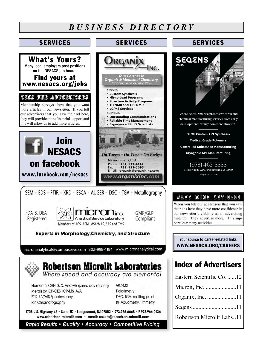### *B U S I N E S S D I R E C T O R Y*